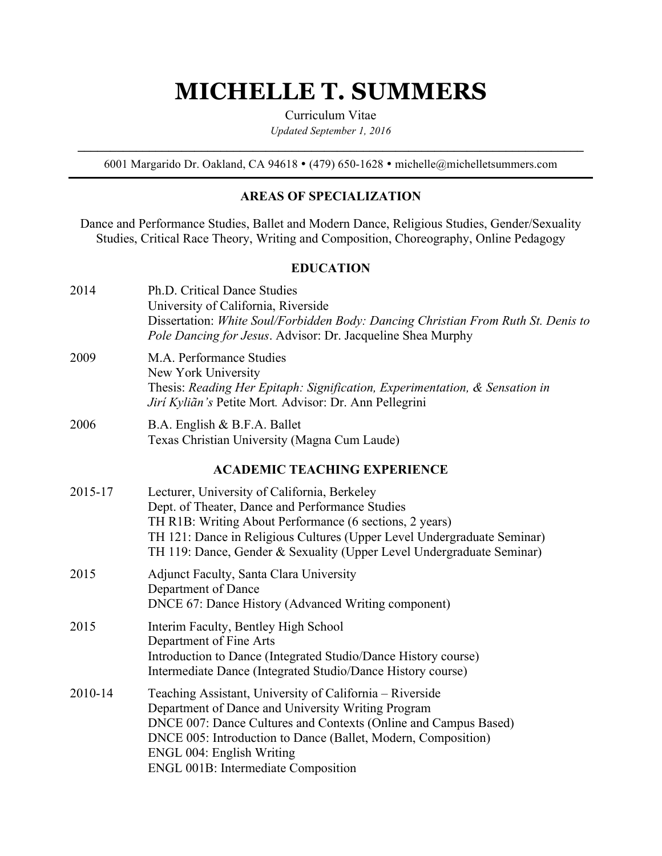# **MICHELLE T. SUMMERS**

Curriculum Vitae

*Updated September 1, 2016*  $\mathcal{L}_\mathcal{L} = \{ \mathcal{L}_\mathcal{L} = \{ \mathcal{L}_\mathcal{L} = \{ \mathcal{L}_\mathcal{L} = \{ \mathcal{L}_\mathcal{L} = \{ \mathcal{L}_\mathcal{L} = \{ \mathcal{L}_\mathcal{L} = \{ \mathcal{L}_\mathcal{L} = \{ \mathcal{L}_\mathcal{L} = \{ \mathcal{L}_\mathcal{L} = \{ \mathcal{L}_\mathcal{L} = \{ \mathcal{L}_\mathcal{L} = \{ \mathcal{L}_\mathcal{L} = \{ \mathcal{L}_\mathcal{L} = \{ \mathcal{L}_\mathcal{$ 

6001 Margarido Dr. Oakland, CA 94618 · (479) 650-1628 · michelle@michelletsummers.com

#### **AREAS OF SPECIALIZATION**

Dance and Performance Studies, Ballet and Modern Dance, Religious Studies, Gender/Sexuality Studies, Critical Race Theory, Writing and Composition, Choreography, Online Pedagogy

#### **EDUCATION**

| 2014    | Ph.D. Critical Dance Studies<br>University of California, Riverside<br>Dissertation: White Soul/Forbidden Body: Dancing Christian From Ruth St. Denis to<br>Pole Dancing for Jesus. Advisor: Dr. Jacqueline Shea Murphy                                                                                                       |
|---------|-------------------------------------------------------------------------------------------------------------------------------------------------------------------------------------------------------------------------------------------------------------------------------------------------------------------------------|
| 2009    | M.A. Performance Studies<br>New York University<br>Thesis: Reading Her Epitaph: Signification, Experimentation, & Sensation in<br>Jirí Kyliãn's Petite Mort. Advisor: Dr. Ann Pellegrini                                                                                                                                      |
| 2006    | B.A. English & B.F.A. Ballet<br>Texas Christian University (Magna Cum Laude)                                                                                                                                                                                                                                                  |
|         | <b>ACADEMIC TEACHING EXPERIENCE</b>                                                                                                                                                                                                                                                                                           |
| 2015-17 | Lecturer, University of California, Berkeley<br>Dept. of Theater, Dance and Performance Studies<br>TH R1B: Writing About Performance (6 sections, 2 years)<br>TH 121: Dance in Religious Cultures (Upper Level Undergraduate Seminar)<br>TH 119: Dance, Gender & Sexuality (Upper Level Undergraduate Seminar)                |
| 2015    | Adjunct Faculty, Santa Clara University<br>Department of Dance<br>DNCE 67: Dance History (Advanced Writing component)                                                                                                                                                                                                         |
| 2015    | Interim Faculty, Bentley High School<br>Department of Fine Arts<br>Introduction to Dance (Integrated Studio/Dance History course)<br>Intermediate Dance (Integrated Studio/Dance History course)                                                                                                                              |
| 2010-14 | Teaching Assistant, University of California - Riverside<br>Department of Dance and University Writing Program<br>DNCE 007: Dance Cultures and Contexts (Online and Campus Based)<br>DNCE 005: Introduction to Dance (Ballet, Modern, Composition)<br>ENGL 004: English Writing<br><b>ENGL 001B: Intermediate Composition</b> |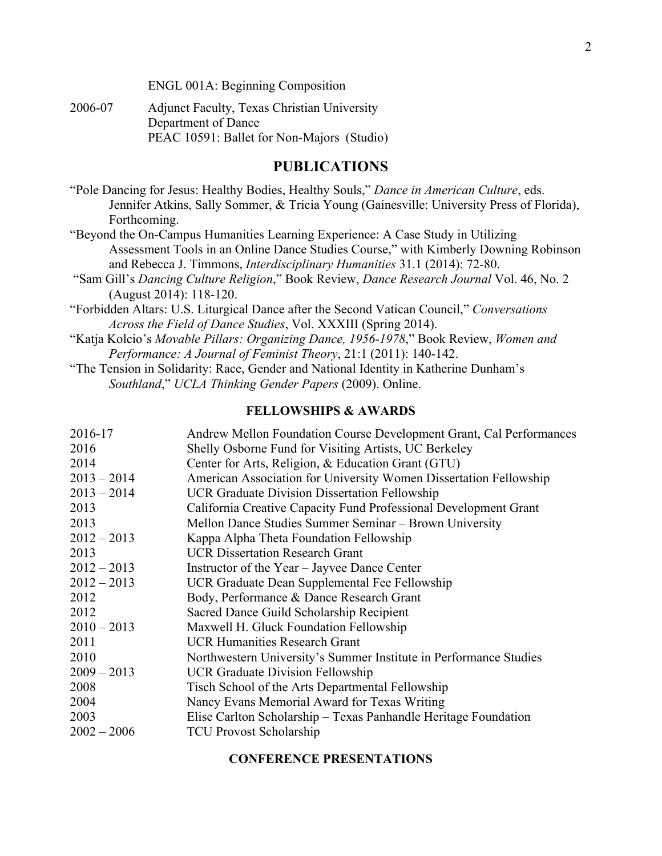ENGL 001A: Beginning Composition

2006-07 Adjunct Faculty, Texas Christian University Department of Dance PEAC 10591: Ballet for Non-Majors (Studio)

#### **PUBLICATIONS**

"Pole Dancing for Jesus: Healthy Bodies, Healthy Souls," *Dance in American Culture*, eds. Jennifer Atkins, Sally Sommer, & Tricia Young (Gainesville: University Press of Florida), Forthcoming.

- "Beyond the On-Campus Humanities Learning Experience: A Case Study in Utilizing Assessment Tools in an Online Dance Studies Course," with Kimberly Downing Robinson and Rebecca J. Timmons, *Interdisciplinary Humanities* 31.1 (2014): 72-80.
- "Sam Gill's *Dancing Culture Religion*," Book Review, *Dance Research Journal* Vol. 46, No. 2 (August 2014): 118-120.
- "Forbidden Altars: U.S. Liturgical Dance after the Second Vatican Council," *Conversations Across the Field of Dance Studies*, Vol. XXXIII (Spring 2014).
- "Katja Kolcio's *Movable Pillars: Organizing Dance, 1956-1978*," Book Review, *Women and Performance: A Journal of Feminist Theory*, 21:1 (2011): 140-142.
- "The Tension in Solidarity: Race, Gender and National Identity in Katherine Dunham's *Southland*," *UCLA Thinking Gender Papers* (2009). Online.

#### **FELLOWSHIPS & AWARDS**

| 2016-17       | Andrew Mellon Foundation Course Development Grant, Cal Performances |
|---------------|---------------------------------------------------------------------|
| 2016          | Shelly Osborne Fund for Visiting Artists, UC Berkeley               |
| 2014          | Center for Arts, Religion, & Education Grant (GTU)                  |
| $2013 - 2014$ | American Association for University Women Dissertation Fellowship   |
| $2013 - 2014$ | <b>UCR Graduate Division Dissertation Fellowship</b>                |
| 2013          | California Creative Capacity Fund Professional Development Grant    |
| 2013          | Mellon Dance Studies Summer Seminar – Brown University              |
| $2012 - 2013$ | Kappa Alpha Theta Foundation Fellowship                             |
| 2013          | <b>UCR Dissertation Research Grant</b>                              |
| $2012 - 2013$ | Instructor of the Year – Jayvee Dance Center                        |
| $2012 - 2013$ | UCR Graduate Dean Supplemental Fee Fellowship                       |
| 2012          | Body, Performance & Dance Research Grant                            |
| 2012          | Sacred Dance Guild Scholarship Recipient                            |
| $2010 - 2013$ | Maxwell H. Gluck Foundation Fellowship                              |
| 2011          | <b>UCR Humanities Research Grant</b>                                |
| 2010          | Northwestern University's Summer Institute in Performance Studies   |
| $2009 - 2013$ | <b>UCR Graduate Division Fellowship</b>                             |
| 2008          | Tisch School of the Arts Departmental Fellowship                    |
| 2004          | Nancy Evans Memorial Award for Texas Writing                        |
| 2003          | Elise Carlton Scholarship – Texas Panhandle Heritage Foundation     |
| $2002 - 2006$ | <b>TCU Provost Scholarship</b>                                      |
|               |                                                                     |

#### **CONFERENCE PRESENTATIONS**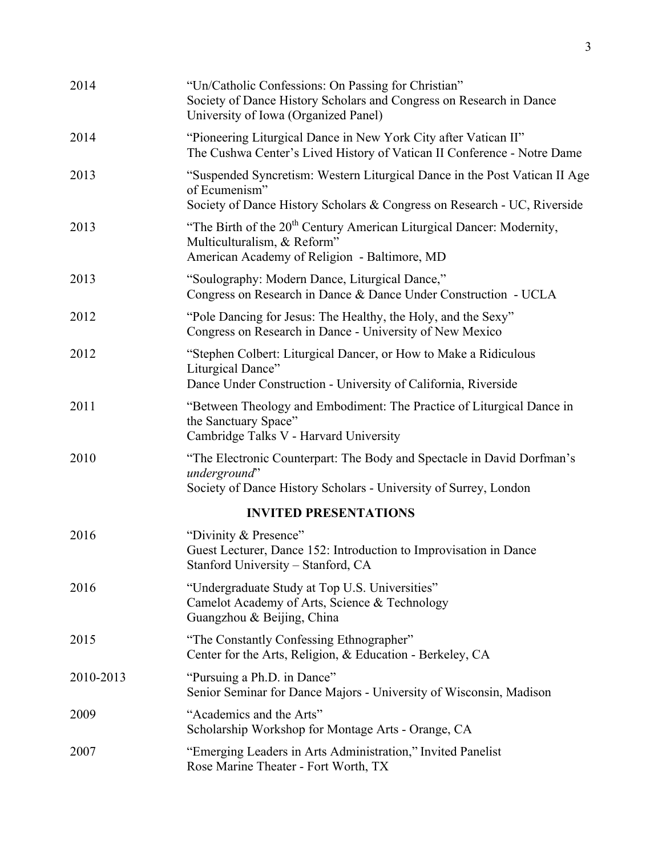|   | ۰<br>۰. |
|---|---------|
|   |         |
|   | ×.      |
|   |         |
|   | I<br>٦  |
| × | I<br>۰. |
|   |         |

| 2014                         | "Un/Catholic Confessions: On Passing for Christian"<br>Society of Dance History Scholars and Congress on Research in Dance<br>University of Iowa (Organized Panel)      |  |  |  |
|------------------------------|-------------------------------------------------------------------------------------------------------------------------------------------------------------------------|--|--|--|
| 2014                         | "Pioneering Liturgical Dance in New York City after Vatican II"<br>The Cushwa Center's Lived History of Vatican II Conference - Notre Dame                              |  |  |  |
| 2013                         | "Suspended Syncretism: Western Liturgical Dance in the Post Vatican II Age<br>of Ecumenism"<br>Society of Dance History Scholars & Congress on Research - UC, Riverside |  |  |  |
| 2013                         | "The Birth of the 20 <sup>th</sup> Century American Liturgical Dancer: Modernity,<br>Multiculturalism, & Reform"<br>American Academy of Religion - Baltimore, MD        |  |  |  |
| 2013                         | "Soulography: Modern Dance, Liturgical Dance,"<br>Congress on Research in Dance & Dance Under Construction - UCLA                                                       |  |  |  |
| 2012                         | "Pole Dancing for Jesus: The Healthy, the Holy, and the Sexy"<br>Congress on Research in Dance - University of New Mexico                                               |  |  |  |
| 2012                         | "Stephen Colbert: Liturgical Dancer, or How to Make a Ridiculous<br>Liturgical Dance"<br>Dance Under Construction - University of California, Riverside                 |  |  |  |
| 2011                         | "Between Theology and Embodiment: The Practice of Liturgical Dance in<br>the Sanctuary Space"<br>Cambridge Talks V - Harvard University                                 |  |  |  |
| 2010                         | "The Electronic Counterpart: The Body and Spectacle in David Dorfman's<br>underground"<br>Society of Dance History Scholars - University of Surrey, London              |  |  |  |
| <b>INVITED PRESENTATIONS</b> |                                                                                                                                                                         |  |  |  |
| 2016                         | "Divinity & Presence"<br>Guest Lecturer, Dance 152: Introduction to Improvisation in Dance<br>Stanford University - Stanford, CA                                        |  |  |  |
| 2016                         | "Undergraduate Study at Top U.S. Universities"<br>Camelot Academy of Arts, Science & Technology<br>Guangzhou & Beijing, China                                           |  |  |  |
| 2015                         | "The Constantly Confessing Ethnographer"<br>Center for the Arts, Religion, & Education - Berkeley, CA                                                                   |  |  |  |
| 2010-2013                    | "Pursuing a Ph.D. in Dance"<br>Senior Seminar for Dance Majors - University of Wisconsin, Madison                                                                       |  |  |  |
| 2009                         | "Academics and the Arts"<br>Scholarship Workshop for Montage Arts - Orange, CA                                                                                          |  |  |  |
| 2007                         | "Emerging Leaders in Arts Administration," Invited Panelist<br>Rose Marine Theater - Fort Worth, TX                                                                     |  |  |  |
|                              |                                                                                                                                                                         |  |  |  |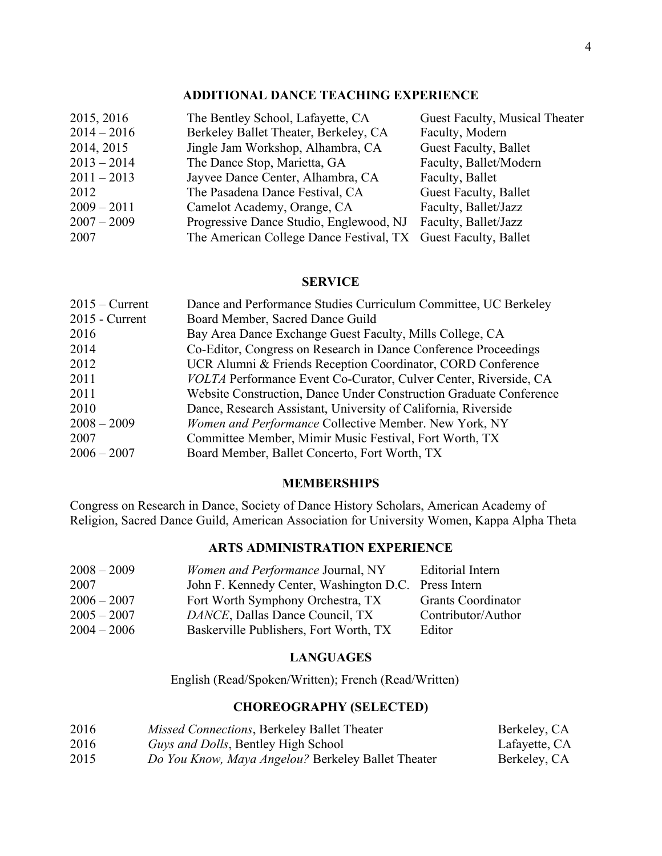#### **ADDITIONAL DANCE TEACHING EXPERIENCE**

| 2015, 2016    | The Bentley School, Lafayette, CA                             | Guest Faculty, Musical Theater |
|---------------|---------------------------------------------------------------|--------------------------------|
| $2014 - 2016$ | Berkeley Ballet Theater, Berkeley, CA                         | Faculty, Modern                |
| 2014, 2015    | Jingle Jam Workshop, Alhambra, CA                             | Guest Faculty, Ballet          |
| $2013 - 2014$ | The Dance Stop, Marietta, GA                                  | Faculty, Ballet/Modern         |
| $2011 - 2013$ | Jayvee Dance Center, Alhambra, CA                             | Faculty, Ballet                |
| 2012          | The Pasadena Dance Festival, CA                               | Guest Faculty, Ballet          |
| $2009 - 2011$ | Camelot Academy, Orange, CA                                   | Faculty, Ballet/Jazz           |
| $2007 - 2009$ | Progressive Dance Studio, Englewood, NJ                       | Faculty, Ballet/Jazz           |
| 2007          | The American College Dance Festival, TX Guest Faculty, Ballet |                                |

#### **SERVICE**

| $2015 -$ Current | Dance and Performance Studies Curriculum Committee, UC Berkeley    |
|------------------|--------------------------------------------------------------------|
| $2015$ - Current | Board Member, Sacred Dance Guild                                   |
| 2016             | Bay Area Dance Exchange Guest Faculty, Mills College, CA           |
| 2014             | Co-Editor, Congress on Research in Dance Conference Proceedings    |
| 2012             | UCR Alumni & Friends Reception Coordinator, CORD Conference        |
| 2011             | VOLTA Performance Event Co-Curator, Culver Center, Riverside, CA   |
| 2011             | Website Construction, Dance Under Construction Graduate Conference |
| 2010             | Dance, Research Assistant, University of California, Riverside     |
| $2008 - 2009$    | Women and Performance Collective Member. New York, NY              |
| 2007             | Committee Member, Mimir Music Festival, Fort Worth, TX             |
| $2006 - 2007$    | Board Member, Ballet Concerto, Fort Worth, TX                      |

#### **MEMBERSHIPS**

Congress on Research in Dance, Society of Dance History Scholars, American Academy of Religion, Sacred Dance Guild, American Association for University Women, Kappa Alpha Theta

#### **ARTS ADMINISTRATION EXPERIENCE**

| $2008 - 2009$ | <i>Women and Performance Journal, NY</i>             | <b>Editorial Intern</b>   |
|---------------|------------------------------------------------------|---------------------------|
| 2007          | John F. Kennedy Center, Washington D.C. Press Intern |                           |
| $2006 - 2007$ | Fort Worth Symphony Orchestra, TX                    | <b>Grants Coordinator</b> |
| $2005 - 2007$ | DANCE, Dallas Dance Council, TX                      | Contributor/Author        |
| $2004 - 2006$ | Baskerville Publishers, Fort Worth, TX               | Editor                    |

#### **LANGUAGES**

English (Read/Spoken/Written); French (Read/Written)

### **CHOREOGRAPHY (SELECTED)**

| 2016 | Missed Connections, Berkeley Ballet Theater        | Berkeley, CA  |
|------|----------------------------------------------------|---------------|
| 2016 | <i>Guys and Dolls</i> , Bentley High School        | Lafayette, CA |
| 2015 | Do You Know, Maya Angelou? Berkeley Ballet Theater | Berkeley, CA  |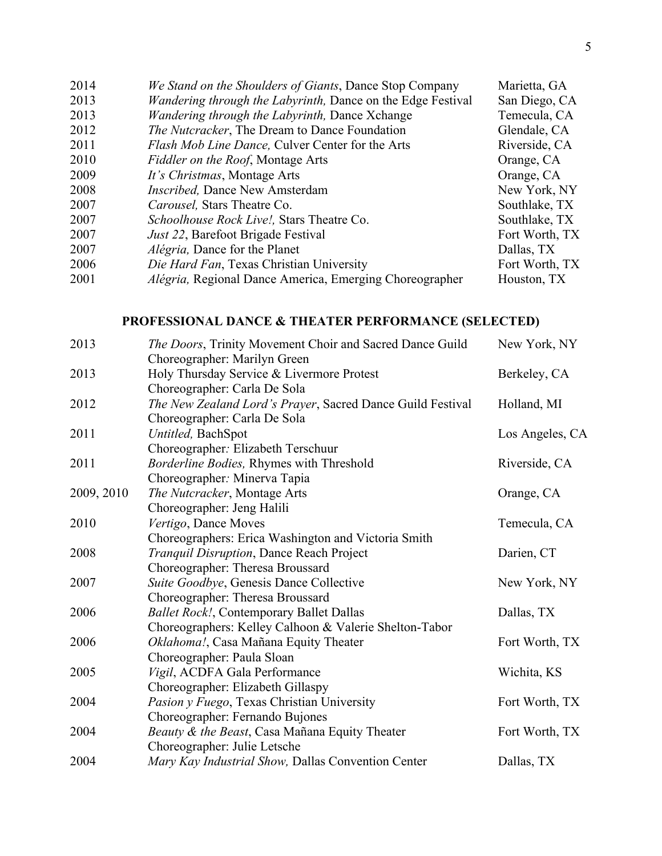| 2014 | We Stand on the Shoulders of Giants, Dance Stop Company         | Marietta, GA   |
|------|-----------------------------------------------------------------|----------------|
| 2013 | Wandering through the Labyrinth, Dance on the Edge Festival     | San Diego, CA  |
| 2013 | Wandering through the Labyrinth, Dance Xchange                  | Temecula, CA   |
| 2012 | <i>The Nutcracker</i> , The Dream to Dance Foundation           | Glendale, CA   |
| 2011 | Flash Mob Line Dance, Culver Center for the Arts                | Riverside, CA  |
| 2010 | Fiddler on the Roof, Montage Arts                               | Orange, CA     |
| 2009 | It's Christmas, Montage Arts                                    | Orange, CA     |
| 2008 | <i>Inscribed</i> , Dance New Amsterdam                          | New York, NY   |
| 2007 | Carousel, Stars Theatre Co.                                     | Southlake, TX  |
| 2007 | Schoolhouse Rock Live!, Stars Theatre Co.                       | Southlake, TX  |
| 2007 | <i>Just 22</i> , Barefoot Brigade Festival                      | Fort Worth, TX |
| 2007 | <i>Alégria</i> , Dance for the Planet                           | Dallas, TX     |
| 2006 | Die Hard Fan, Texas Christian University                        | Fort Worth, TX |
| 2001 | <i>Alégria</i> , Regional Dance America, Emerging Choreographer | Houston, TX    |
|      |                                                                 |                |

## **PROFESSIONAL DANCE & THEATER PERFORMANCE (SELECTED)**

| 2013       | The Doors, Trinity Movement Choir and Sacred Dance Guild<br>Choreographer: Marilyn Green                       | New York, NY    |
|------------|----------------------------------------------------------------------------------------------------------------|-----------------|
| 2013       | Holy Thursday Service & Livermore Protest                                                                      | Berkeley, CA    |
| 2012       | Choreographer: Carla De Sola<br>The New Zealand Lord's Prayer, Sacred Dance Guild Festival                     | Holland, MI     |
| 2011       | Choreographer: Carla De Sola<br>Untitled, BachSpot                                                             | Los Angeles, CA |
| 2011       | Choreographer: Elizabeth Terschuur<br>Borderline Bodies, Rhymes with Threshold<br>Choreographer: Minerva Tapia | Riverside, CA   |
| 2009, 2010 | The Nutcracker, Montage Arts<br>Choreographer: Jeng Halili                                                     | Orange, CA      |
| 2010       | Vertigo, Dance Moves                                                                                           | Temecula, CA    |
| 2008       | Choreographers: Erica Washington and Victoria Smith<br>Tranquil Disruption, Dance Reach Project                | Darien, CT      |
| 2007       | Choreographer: Theresa Broussard<br>Suite Goodbye, Genesis Dance Collective                                    | New York, NY    |
| 2006       | Choreographer: Theresa Broussard<br><b>Ballet Rock!, Contemporary Ballet Dallas</b>                            | Dallas, TX      |
| 2006       | Choreographers: Kelley Calhoon & Valerie Shelton-Tabor<br>Oklahoma!, Casa Mañana Equity Theater                | Fort Worth, TX  |
| 2005       | Choreographer: Paula Sloan<br>Vigil, ACDFA Gala Performance                                                    | Wichita, KS     |
| 2004       | Choreographer: Elizabeth Gillaspy<br>Pasion y Fuego, Texas Christian University                                | Fort Worth, TX  |
| 2004       | Choreographer: Fernando Bujones<br>Beauty & the Beast, Casa Mañana Equity Theater                              | Fort Worth, TX  |
| 2004       | Choreographer: Julie Letsche<br>Mary Kay Industrial Show, Dallas Convention Center                             | Dallas, TX      |